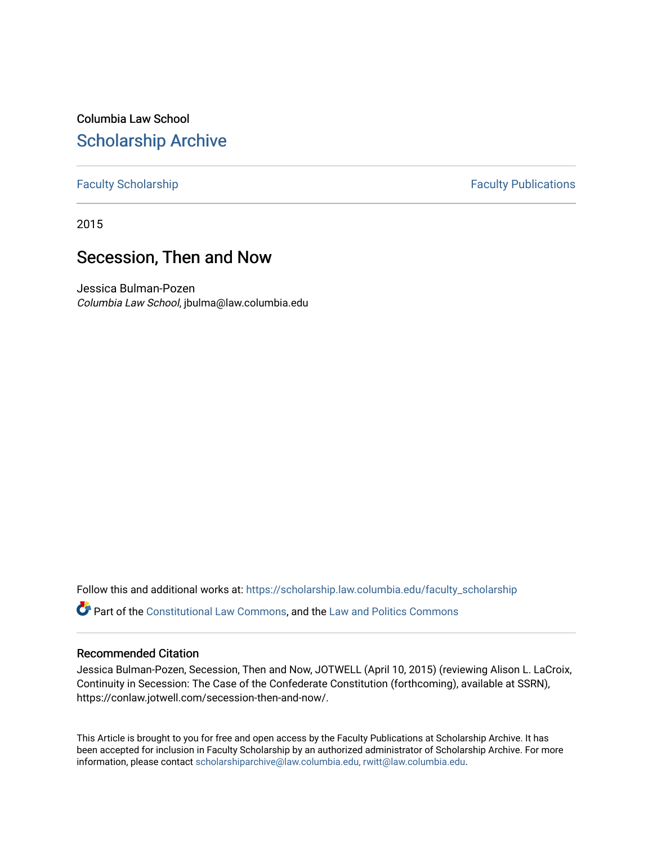## Columbia Law School [Scholarship Archive](https://scholarship.law.columbia.edu/)

### [Faculty Scholarship](https://scholarship.law.columbia.edu/faculty_scholarship) **Faculty Publications**

2015

### Secession, Then and Now

Jessica Bulman-Pozen Columbia Law School, jbulma@law.columbia.edu

Follow this and additional works at: [https://scholarship.law.columbia.edu/faculty\\_scholarship](https://scholarship.law.columbia.edu/faculty_scholarship?utm_source=scholarship.law.columbia.edu%2Ffaculty_scholarship%2F3228&utm_medium=PDF&utm_campaign=PDFCoverPages) Part of the [Constitutional Law Commons,](http://network.bepress.com/hgg/discipline/589?utm_source=scholarship.law.columbia.edu%2Ffaculty_scholarship%2F3228&utm_medium=PDF&utm_campaign=PDFCoverPages) and the [Law and Politics Commons](http://network.bepress.com/hgg/discipline/867?utm_source=scholarship.law.columbia.edu%2Ffaculty_scholarship%2F3228&utm_medium=PDF&utm_campaign=PDFCoverPages)

#### Recommended Citation

Jessica Bulman-Pozen, Secession, Then and Now, JOTWELL (April 10, 2015) (reviewing Alison L. LaCroix, Continuity in Secession: The Case of the Confederate Constitution (forthcoming), available at SSRN), https://conlaw.jotwell.com/secession-then-and-now/.

This Article is brought to you for free and open access by the Faculty Publications at Scholarship Archive. It has been accepted for inclusion in Faculty Scholarship by an authorized administrator of Scholarship Archive. For more information, please contact [scholarshiparchive@law.columbia.edu, rwitt@law.columbia.edu](mailto:scholarshiparchive@law.columbia.edu,%20rwitt@law.columbia.edu).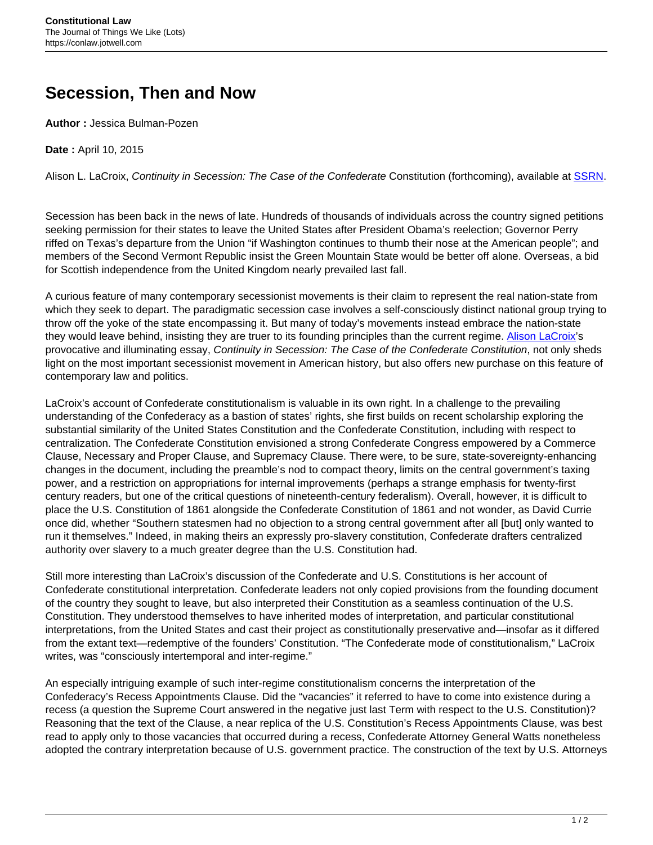# **Secession, Then and Now**

**Author :** Jessica Bulman-Pozen

**Date :** April 10, 2015

Alison L. LaCroix, Continuity in Secession: The Case of the Confederate Constitution (forthcoming), available at [SSRN](http://papers.ssrn.com/sol3/papers.cfm?abstract_id=2571358).

Secession has been back in the news of late. Hundreds of thousands of individuals across the country signed petitions seeking permission for their states to leave the United States after President Obama's reelection; Governor Perry riffed on Texas's departure from the Union "if Washington continues to thumb their nose at the American people"; and members of the Second Vermont Republic insist the Green Mountain State would be better off alone. Overseas, a bid for Scottish independence from the United Kingdom nearly prevailed last fall.

A curious feature of many contemporary secessionist movements is their claim to represent the real nation-state from which they seek to depart. The paradigmatic secession case involves a self-consciously distinct national group trying to throw off the yoke of the state encompassing it. But many of today's movements instead embrace the nation-state they would leave behind, insisting they are truer to its founding principles than the current regime. [Alison LaCroix'](http://www.law.uchicago.edu/faculty/lacroix)s provocative and illuminating essay, Continuity in Secession: The Case of the Confederate Constitution, not only sheds light on the most important secessionist movement in American history, but also offers new purchase on this feature of contemporary law and politics.

LaCroix's account of Confederate constitutionalism is valuable in its own right. In a challenge to the prevailing understanding of the Confederacy as a bastion of states' rights, she first builds on recent scholarship exploring the substantial similarity of the United States Constitution and the Confederate Constitution, including with respect to centralization. The Confederate Constitution envisioned a strong Confederate Congress empowered by a Commerce Clause, Necessary and Proper Clause, and Supremacy Clause. There were, to be sure, state-sovereignty-enhancing changes in the document, including the preamble's nod to compact theory, limits on the central government's taxing power, and a restriction on appropriations for internal improvements (perhaps a strange emphasis for twenty-first century readers, but one of the critical questions of nineteenth-century federalism). Overall, however, it is difficult to place the U.S. Constitution of 1861 alongside the Confederate Constitution of 1861 and not wonder, as David Currie once did, whether "Southern statesmen had no objection to a strong central government after all [but] only wanted to run it themselves." Indeed, in making theirs an expressly pro-slavery constitution, Confederate drafters centralized authority over slavery to a much greater degree than the U.S. Constitution had.

Still more interesting than LaCroix's discussion of the Confederate and U.S. Constitutions is her account of Confederate constitutional interpretation. Confederate leaders not only copied provisions from the founding document of the country they sought to leave, but also interpreted their Constitution as a seamless continuation of the U.S. Constitution. They understood themselves to have inherited modes of interpretation, and particular constitutional interpretations, from the United States and cast their project as constitutionally preservative and—insofar as it differed from the extant text—redemptive of the founders' Constitution. "The Confederate mode of constitutionalism," LaCroix writes, was "consciously intertemporal and inter-regime."

An especially intriguing example of such inter-regime constitutionalism concerns the interpretation of the Confederacy's Recess Appointments Clause. Did the "vacancies" it referred to have to come into existence during a recess (a question the Supreme Court answered in the negative just last Term with respect to the U.S. Constitution)? Reasoning that the text of the Clause, a near replica of the U.S. Constitution's Recess Appointments Clause, was best read to apply only to those vacancies that occurred during a recess, Confederate Attorney General Watts nonetheless adopted the contrary interpretation because of U.S. government practice. The construction of the text by U.S. Attorneys